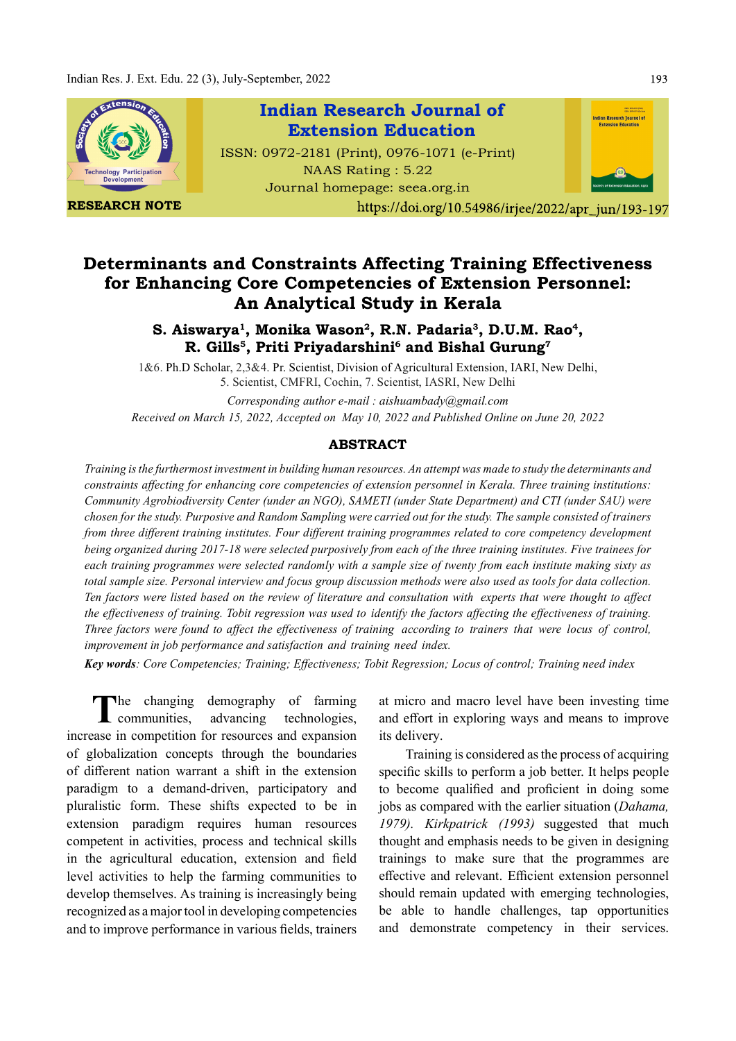

# Determinants and Constraints Affecting Training Effectiveness for Enhancing Core Competencies of Extension Personnel: An Analytical Study in Kerala

## S. Aiswarya<sup>1</sup>, Monika Wason<sup>2</sup>, R.N. Padaria<sup>3</sup>, D.U.M. Rao<sup>4</sup>, iswarya<sup>1</sup>, Monika Wason<sup>2</sup>, R.N. Padaria<sup>3</sup>, D.U.M. Rao<sup>4</sup>,<br>R. Gills<sup>5</sup>, Priti Priyadarshini<sup>6</sup> and Bishal Gurung<sup>7</sup>

1&6. Ph.D Scholar, 2,3&4. Pr. Scientist, Division of Agricultural Extension, IARI, New Delhi, 5. Scientist, CMFRI, Cochin, 7. Scientist, IASRI, New Delhi

Corresponding author e-mail : aishuambady@gmail.com Received on March 15, 2022, Accepted on May 10, 2022 and Published Online on June 20, 2022

#### ABSTRACT

Training is the furthermost investment in building human resources. An attempt was made to study the determinants and constraints affecting for enhancing core competencies of extension personnel in Kerala. Three training institutions: Community Agrobiodiversity Center (under an NGO), SAMETI (under State Department) and CTI (under SAU) were chosen for the study. Purposive and Random Sampling were carried out for the study. The sample consisted of trainers from three different training institutes. Four different training programmes related to core competency development being organized during 2017-18 were selected purposively from each of the three training institutes. Five trainees for each training programmes were selected randomly with a sample size of twenty from each institute making sixty as total sample size. Personal interview and focus group discussion methods were also used as tools for data collection. Ten factors were listed based on the review of literature and consultation with experts that were thought to affect the effectiveness of training. Tobit regression was used to identify the factors affecting the effectiveness of training. Three factors were found to affect the effectiveness of training according to trainers that were locus of control, improvement in job performance and satisfaction and training need index.

Key words: Core Competencies; Training; Effectiveness; Tobit Regression; Locus of control; Training need index

The changing demography of farming<br>communities, advancing technologies, communities, advancing technologies, increase in competition for resources and expansion of globalization concepts through the boundaries of different nation warrant a shift in the extension paradigm to a demand-driven, participatory and pluralistic form. These shifts expected to be in extension paradigm requires human resources competent in activities, process and technical skills in the agricultural education, extension and field level activities to help the farming communities to develop themselves. As training is increasingly being recognized as a major tool in developing competencies and to improve performance in various fields, trainers

at micro and macro level have been investing time and effort in exploring ways and means to improve its delivery.

Training is considered as the process of acquiring specific skills to perform a job better. It helps people to become qualified and proficient in doing some jobs as compared with the earlier situation (Dahama, 1979). Kirkpatrick (1993) suggested that much thought and emphasis needs to be given in designing trainings to make sure that the programmes are effective and relevant. Efficient extension personnel should remain updated with emerging technologies, be able to handle challenges, tap opportunities and demonstrate competency in their services.

193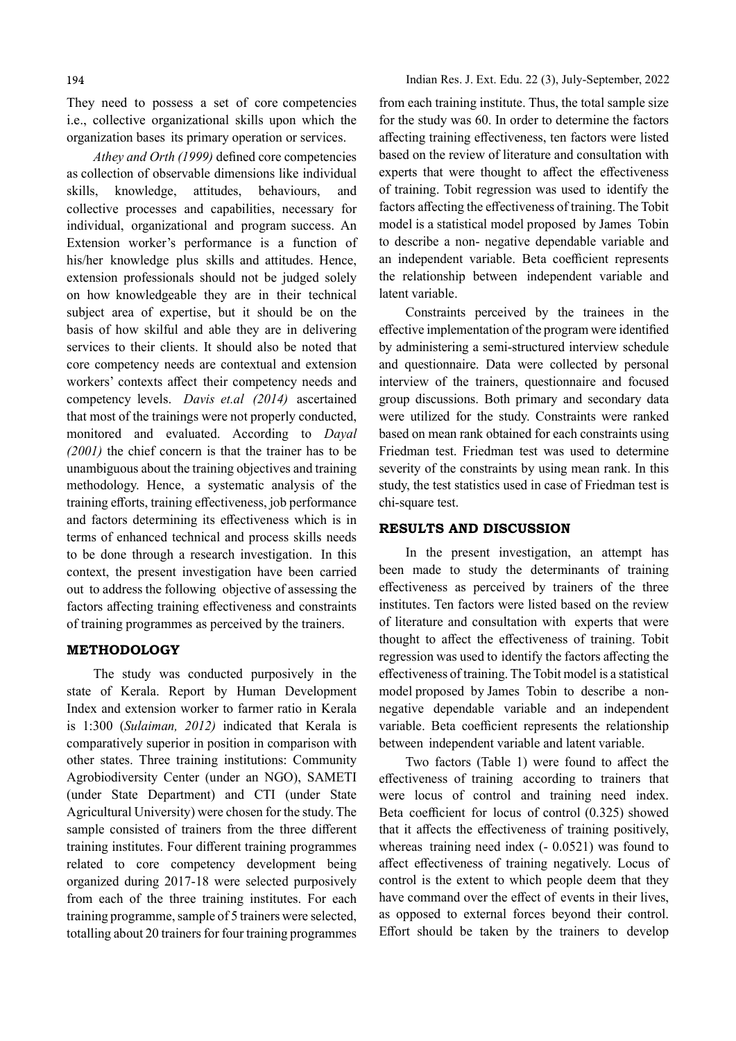They need to possess a set of core competencies i.e., collective organizational skills upon which the organization bases its primary operation or services.

Athey and Orth (1999) defined core competencies as collection of observable dimensions like individual skills, knowledge, attitudes, behaviours, and collective processes and capabilities, necessary for individual, organizational and program success. An Extension worker's performance is a function of his/her knowledge plus skills and attitudes. Hence, extension professionals should not be judged solely on how knowledgeable they are in their technical subject area of expertise, but it should be on the basis of how skilful and able they are in delivering services to their clients. It should also be noted that core competency needs are contextual and extension workers' contexts affect their competency needs and competency levels. Davis et.al (2014) ascertained that most of the trainings were not properly conducted, monitored and evaluated. According to Dayal (2001) the chief concern is that the trainer has to be unambiguous about the training objectives and training methodology. Hence, a systematic analysis of the training efforts, training effectiveness, job performance and factors determining its effectiveness which is in terms of enhanced technical and process skills needs to be done through a research investigation. In this context, the present investigation have been carried out to address the following objective of assessing the factors affecting training effectiveness and constraints of training programmes as perceived by the trainers.

### METHODOLOGY

The study was conducted purposively in the state of Kerala. Report by Human Development Index and extension worker to farmer ratio in Kerala is 1:300 (Sulaiman, 2012) indicated that Kerala is comparatively superior in position in comparison with other states. Three training institutions: Community Agrobiodiversity Center (under an NGO), SAMETI (under State Department) and CTI (under State Agricultural University) were chosen for the study. The sample consisted of trainers from the three different training institutes. Four different training programmes related to core competency development being organized during 2017-18 were selected purposively from each of the three training institutes. For each training programme, sample of 5 trainers were selected, totalling about 20 trainers for four training programmes

from each training institute. Thus, the total sample size for the study was 60. In order to determine the factors affecting training effectiveness, ten factors were listed based on the review of literature and consultation with experts that were thought to affect the effectiveness of training. Tobit regression was used to identify the factors affecting the effectiveness of training. The Tobit model is a statistical model proposed by James Tobin to describe a non- negative dependable variable and an independent variable. Beta coefficient represents the relationship between independent variable and latent variable.

Constraints perceived by the trainees in the effective implementation of the program were identified by administering a semi-structured interview schedule and questionnaire. Data were collected by personal interview of the trainers, questionnaire and focused group discussions. Both primary and secondary data were utilized for the study. Constraints were ranked based on mean rank obtained for each constraints using Friedman test. Friedman test was used to determine severity of the constraints by using mean rank. In this study, the test statistics used in case of Friedman test is chi-square test.

#### RESULTS AND DISCUSSION

In the present investigation, an attempt has been made to study the determinants of training effectiveness as perceived by trainers of the three institutes. Ten factors were listed based on the review of literature and consultation with experts that were thought to affect the effectiveness of training. Tobit regression was used to identify the factors affecting the effectiveness of training. The Tobit model is a statistical model proposed by James Tobin to describe a nonnegative dependable variable and an independent variable. Beta coefficient represents the relationship between independent variable and latent variable.

Two factors (Table 1) were found to affect the effectiveness of training according to trainers that were locus of control and training need index. Beta coefficient for locus of control  $(0.325)$  showed that it affects the effectiveness of training positively, whereas training need index  $(-0.0521)$  was found to affect effectiveness of training negatively. Locus of control is the extent to which people deem that they have command over the effect of events in their lives, as opposed to external forces beyond their control. Effort should be taken by the trainers to develop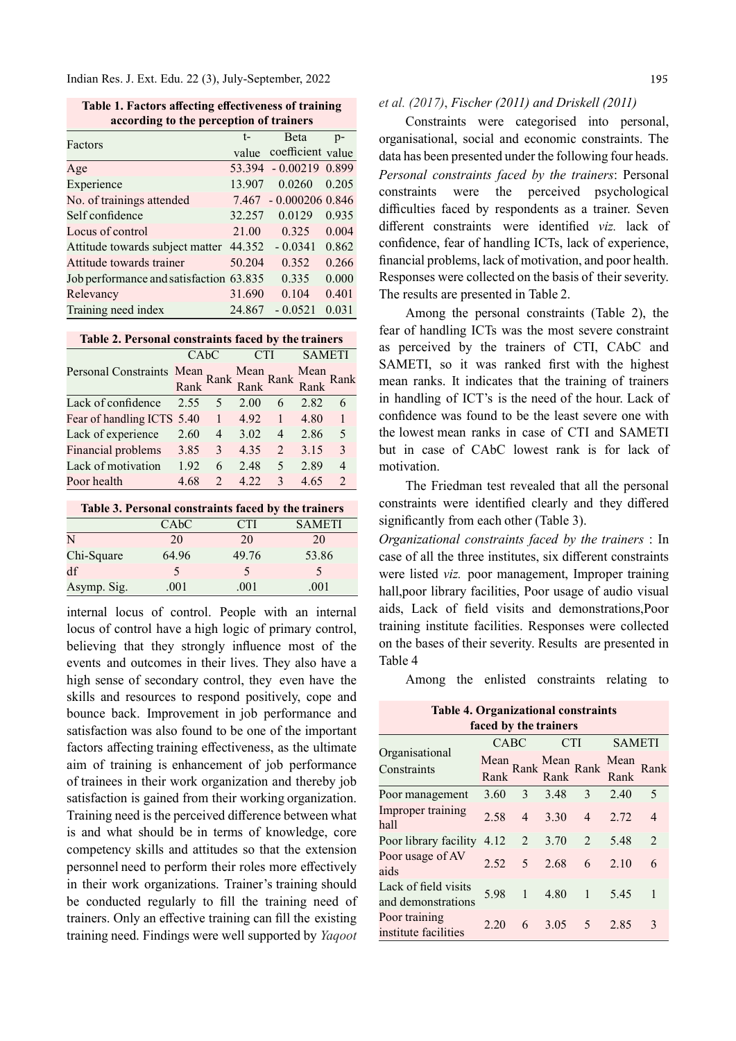Indian Res. J. Ext. Edu. 22 (3), July-September, 2022

Table 1. Factors affecting effectiveness of training according to the perception of trainers

| Factors                                 | $t-$   | <b>B</b> eta            | $p-$  |
|-----------------------------------------|--------|-------------------------|-------|
|                                         |        | value coefficient value |       |
| Age                                     |        | 53.394 - 0.00219 0.899  |       |
| Experience                              | 13.907 | 0.0260                  | 0.205 |
| No. of trainings attended               |        | 7.467 - 0.000206 0.846  |       |
| Self confidence                         | 32.257 | 0.0129                  | 0.935 |
| Locus of control                        | 21.00  | 0.325                   | 0.004 |
| Attitude towards subject matter         | 44.352 | $-0.0341$               | 0.862 |
| Attitude towards trainer                | 50.204 | 0.352                   | 0.266 |
| Job performance and satisfaction 63.835 |        | 0.335                   | 0.000 |
| Relevancy                               | 31.690 | 0.104                   | 0.401 |
| Training need index                     | 24.867 | $-0.0521$               | 0.031 |

Table 2. Personal constraints faced by the trainers

|                                                                   |      | CAbC           | <b>CTI</b>    |                | <b>SAMETI</b> |                             |
|-------------------------------------------------------------------|------|----------------|---------------|----------------|---------------|-----------------------------|
| Personal Constraints Mean Rank Mean Rank Rank Rank Rank Rank Rank |      |                |               |                |               |                             |
| Lack of confidence                                                |      | 2.55 5 2.00    |               | 6              | 2.82          | 6                           |
| Fear of handling ICTS 5.40 1 4.92                                 |      |                |               | -1             | 4.80          |                             |
| Lack of experience 2.60                                           |      |                | $4\quad 3.02$ | $\overline{4}$ | 2.86          | 5                           |
| Financial problems 3.85                                           |      | 3              | 4.35          | $\overline{2}$ | 3.15          | $\mathcal{R}$               |
| Lack of motivation                                                | 1.92 | 6              | 2.48          | 5              | 2.89          | 4                           |
| Poor health                                                       | 4.68 | $\mathfrak{D}$ | 4.22          | $\mathcal{R}$  | 4.65          | $\mathcal{D}_{\mathcal{L}}$ |

| Table 3. Personal constraints faced by the trainers |                   |       |               |  |  |  |  |
|-----------------------------------------------------|-------------------|-------|---------------|--|--|--|--|
|                                                     | CA <sub>b</sub> C | CTI   | <b>SAMETI</b> |  |  |  |  |
| N                                                   | 20                | 20    | 20            |  |  |  |  |
| Chi-Square                                          | 64.96             | 49.76 | 53.86         |  |  |  |  |
| df                                                  | $\sim$            | 5     | $\sim$        |  |  |  |  |
| Asymp. Sig.                                         | .001              | .001  | .001          |  |  |  |  |

internal locus of control. People with an internal locus of control have a high logic of primary control, believing that they strongly influence most of the events and outcomes in their lives. They also have a high sense of secondary control, they even have the skills and resources to respond positively, cope and bounce back. Improvement in job performance and satisfaction was also found to be one of the important factors affecting training effectiveness, as the ultimate aim of training is enhancement of job performance of trainees in their work organization and thereby job satisfaction is gained from their working organization. Training need is the perceived difference between what is and what should be in terms of knowledge, core competency skills and attitudes so that the extension personnel need to perform their roles more effectively in their work organizations. Trainer's training should be conducted regularly to fill the training need of trainers. Only an effective training can fill the existing training need. Findings were well supported by Yaqoot

### et al. (2017), Fischer (2011) and Driskell (2011)

Constraints were categorised into personal, organisational, social and economic constraints. The data has been presented under the following four heads. Personal constraints faced by the trainers: Personal constraints were the perceived psychological difficulties faced by respondents as a trainer. Seven different constraints were identified viz lack of confidence, fear of handling ICTs, lack of experience, financial problems, lack of motivation, and poor health. Responses were collected on the basis of their severity. The results are presented in Table 2.

Among the personal constraints (Table 2), the fear of handling ICTs was the most severe constraint as perceived by the trainers of CTI, CAbC and SAMETI, so it was ranked first with the highest mean ranks. It indicates that the training of trainers in handling of ICT's is the need of the hour. Lack of confidence was found to be the least severe one with the lowest mean ranks in case of CTI and SAMETI but in case of CAbC lowest rank is for lack of motivation.

The Friedman test revealed that all the personal constraints were identified clearly and they differed significantly from each other (Table 3).

Organizational constraints faced by the trainers : In case of all the three institutes, six different constraints were listed viz. poor management, Improper training hall,poor library facilities, Poor usage of audio visual aids, Lack of field visits and demonstrations. Poor training institute facilities. Responses were collected on the bases of their severity. Results are presented in Table 4

Among the enlisted constraints relating to

| <b>Table 4. Organizational constraints</b><br>faced by the trainers |                   |                |              |                |               |                             |  |
|---------------------------------------------------------------------|-------------------|----------------|--------------|----------------|---------------|-----------------------------|--|
|                                                                     | CABC              |                | <b>CTI</b>   |                | <b>SAMETI</b> |                             |  |
| Organisational<br>Constraints                                       | Mean Rank<br>Rank |                | Mean<br>Rank | Rank           | Mean<br>Rank  | Rank                        |  |
| Poor management                                                     | 3.60              | 3              | 3.48         | 3              | 2.40          | 5                           |  |
| Improper training<br>hall                                           | 2.58              | $\overline{4}$ | 3.30         | $\overline{4}$ | 2.72          | $\overline{4}$              |  |
| Poor library facility                                               | 4.12              | 2              | 3.70         | 2              | 5.48          | $\mathcal{D}_{\mathcal{L}}$ |  |
| Poor usage of AV<br>aids                                            | 2.52              | 5              | 2.68         | 6              | 2.10          | 6                           |  |
| Lack of field visits<br>and demonstrations                          | 5.98              | $\mathbf{1}$   | 4.80         | 1              | 5.45          | 1                           |  |
| Poor training<br>institute facilities                               | 2.20              | 6              | 3.05         | 5              | 2.85          | 3                           |  |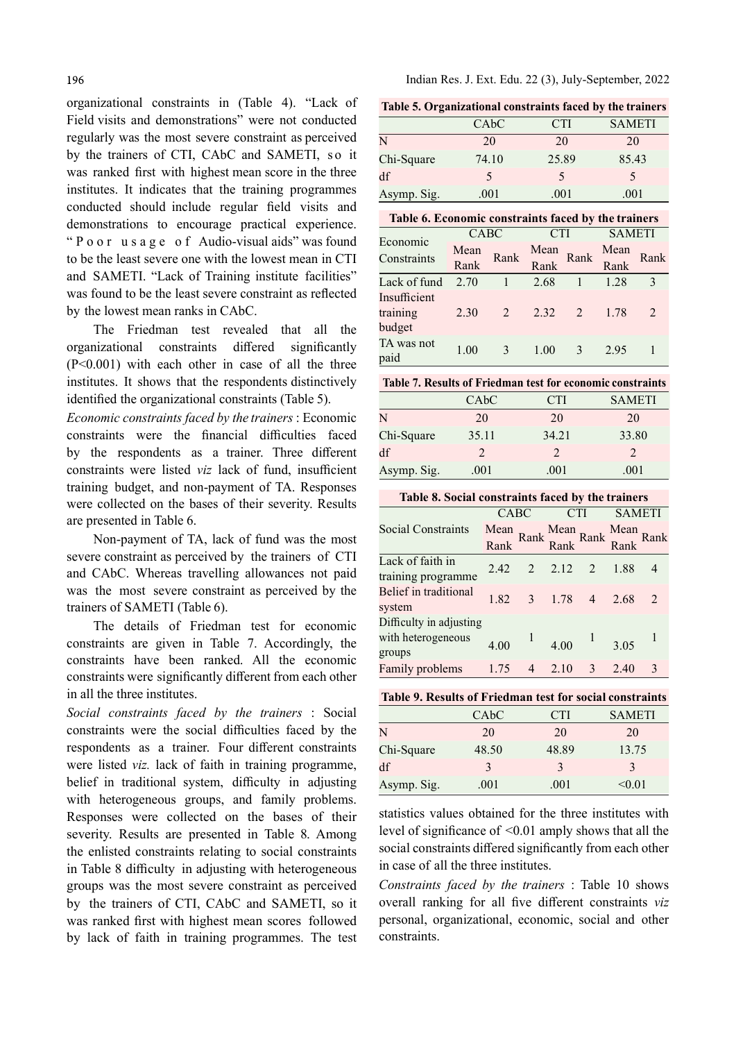organizational constraints in (Table 4). "Lack of Field visits and demonstrations" were not conducted regularly was the most severe constraint as perceived by the trainers of CTI, CAbC and SAMETI, s o it was ranked first with highest mean score in the three institutes. It indicates that the training programmes conducted should include regular field visits and demonstrations to encourage practical experience. 196<br>
Indian Res. J. Ext. Edu. 22 (3), July-Se<br>
Pred visits and demonstrations" were not conducted<br>
Field visits and demonstrations" were not conducted<br>
Tequalarly was the most severe constraint as perceived<br>
by the traine to be the least severe one with the lowest mean in CTI and SAMETI. "Lack of Training institute facilities" was found to be the least severe constraint as reflected by the lowest mean ranks in CAbC.

The Friedman test revealed that all the organizational constraints differed significantly  $(P<0.001)$  with each other in case of all the three institutes. It shows that the respondents distinctively identified the organizational constraints (Table 5).

Economic constraints faced by the trainers : Economic constraints were the financial difficulties faced by the respondents as a trainer. Three different constraints were listed viz lack of fund, insufficient training budget, and non-payment of TA. Responses were collected on the bases of their severity. Results are presented in Table 6.

Non-payment of TA, lack of fund was the most severe constraint as perceived by the trainers of CTI and CAbC. Whereas travelling allowances not paid was the most severe constraint as perceived by the trainers of SAMETI (Table 6).

The details of Friedman test for economic constraints are given in Table 7. Accordingly, the constraints have been ranked. All the economic constraints were significantly different from each other in all the three institutes.

Social constraints faced by the trainers : Social constraints were the social difficulties faced by the respondents as a trainer. Four different constraints were listed viz. lack of faith in training programme, belief in traditional system, difficulty in adjusting with heterogeneous groups, and family problems. Responses were collected on the bases of their severity. Results are presented in Table 8. Among the enlisted constraints relating to social constraints in Table 8 difficulty in adjusting with heterogeneous groups was the most severe constraint as perceived by the trainers of CTI, CAbC and SAMETI, so it was ranked first with highest mean scores followed by lack of faith in training programmes. The test

Indian Res. J. Ext. Edu. 22 (3), July-September, 2022

Table 5. Organizational constraints faced by the trainers

| $\epsilon$  |       |            |               |
|-------------|-------|------------|---------------|
|             | CAbC  | <b>CTI</b> | <b>SAMETI</b> |
| N           | 20    | 20         | 20            |
| Chi-Square  | 74.10 | 25.89      | 85.43         |
| df          |       |            |               |
| Asymp. Sig. | .001  | .001       | .001          |

| Table 6. Economic constraints faced by the trainers |              |                |              |               |               |               |  |
|-----------------------------------------------------|--------------|----------------|--------------|---------------|---------------|---------------|--|
| Economic                                            |              | CABC           |              | <b>CTI</b>    | <b>SAMETI</b> |               |  |
| Constraints                                         | Mean<br>Rank | Rank           | Mean<br>Rank | Rank          | Mean<br>Rank  | Rank          |  |
| Lack of fund                                        | 2.70         |                | 2.68         | $\mathbf{1}$  | 1.28          | $\mathcal{R}$ |  |
| Insufficient<br>training<br>budget                  | 2.30         | 2 <sup>7</sup> | $2.32 \t 2$  |               | 1.78          | $\mathcal{L}$ |  |
| TA was not<br>paid                                  | 1.00         | 3              | 1.00         | $\mathcal{E}$ | 2.95          |               |  |

Table 7. Results of Friedman test for economic constraints

|             | CA <sub>b</sub> C | CTI           | <b>SAMETI</b> |
|-------------|-------------------|---------------|---------------|
| N           | 20                | 20            | 20            |
| Chi-Square  | 35.11             | 34.21         | 33.80         |
| df          | $\mathcal{D}$     | $\mathcal{D}$ | $\mathcal{D}$ |
| Asymp. Sig. | .001              | .001          | .001          |

| Table 8. Social constraints faced by the trainers       |                                          |  |                                   |                         |                |      |  |
|---------------------------------------------------------|------------------------------------------|--|-----------------------------------|-------------------------|----------------|------|--|
|                                                         | CABC                                     |  |                                   |                         | <b>SAMETI</b>  |      |  |
| Social Constraints                                      | Mean<br>Rank Rank Rank Rank<br>Rank Rank |  |                                   |                         | Rank           | Rank |  |
| Lack of faith in<br>training programme                  |                                          |  | $2.42 \quad 2 \quad 2.12 \quad 2$ |                         | 1.88           | 4    |  |
| Belief in traditional<br>system                         |                                          |  | $1.82 \quad 3 \quad 1.78 \quad 4$ |                         | $2.68 \quad 2$ |      |  |
| Difficulty in adjusting<br>with heterogeneous<br>groups | 4.00                                     |  | 4.00                              |                         | 3.05           |      |  |
| Family problems                                         | 1.75                                     |  | $4\quad 2.10$                     | $\overline{\mathbf{3}}$ | 2.40           |      |  |

Table 9. Results of Friedman test for social constraints

|             | CA <sub>b</sub> C | CTI   | <b>SAMETI</b> |
|-------------|-------------------|-------|---------------|
| N           | 20                | 20    | 20            |
| Chi-Square  | 48.50             | 48.89 | 13.75         |
| df          | 3                 |       |               |
| Asymp. Sig. | .001              | .001  | < 0.01        |

statistics values obtained for the three institutes with level of significance of <0.01 amply shows that all the social constraints differed significantly from each other in case of all the three institutes.

Constraints faced by the trainers : Table 10 shows overall ranking for all five different constraints viz personal, organizational, economic, social and other constraints.